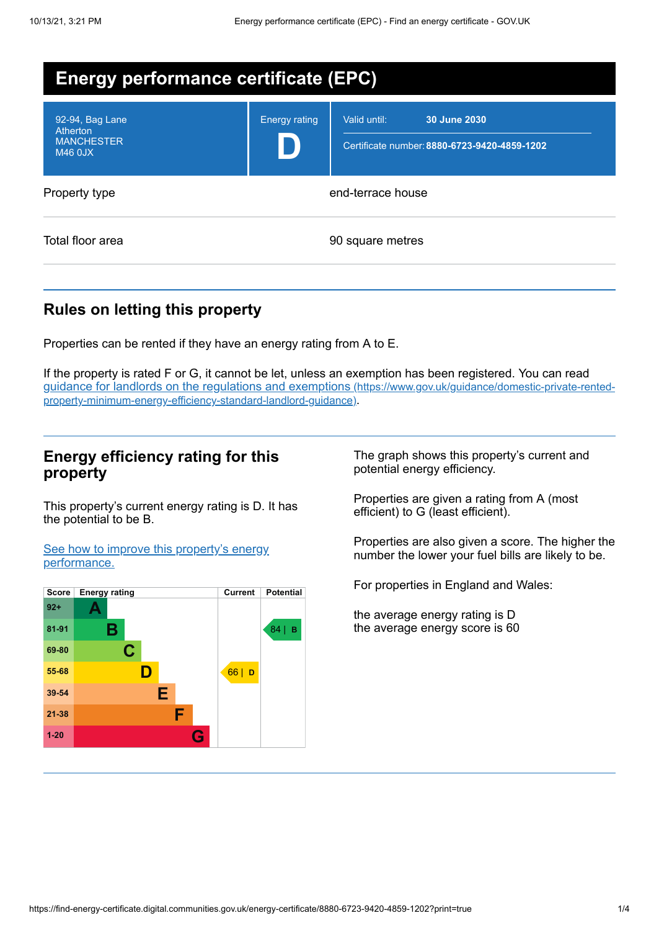| <b>Energy performance certificate (EPC)</b>                               |                      |                                                                              |  |
|---------------------------------------------------------------------------|----------------------|------------------------------------------------------------------------------|--|
| 92-94, Bag Lane<br><b>Atherton</b><br><b>MANCHESTER</b><br><b>M46 0JX</b> | <b>Energy rating</b> | Valid until:<br>30 June 2030<br>Certificate number: 8880-6723-9420-4859-1202 |  |
| Property type                                                             |                      | end-terrace house                                                            |  |
| Total floor area                                                          |                      | 90 square metres                                                             |  |

## **Rules on letting this property**

Properties can be rented if they have an energy rating from A to E.

If the property is rated F or G, it cannot be let, unless an exemption has been registered. You can read guidance for landlords on the regulations and exemptions (https://www.gov.uk/guidance/domestic-private-rented[property-minimum-energy-efficiency-standard-landlord-guidance\)](https://www.gov.uk/guidance/domestic-private-rented-property-minimum-energy-efficiency-standard-landlord-guidance).

### **Energy efficiency rating for this property**

This property's current energy rating is D. It has the potential to be B.

See how to improve this property's energy [performance.](#page-2-0)



The graph shows this property's current and potential energy efficiency.

Properties are given a rating from A (most efficient) to G (least efficient).

Properties are also given a score. The higher the number the lower your fuel bills are likely to be.

For properties in England and Wales:

the average energy rating is D the average energy score is 60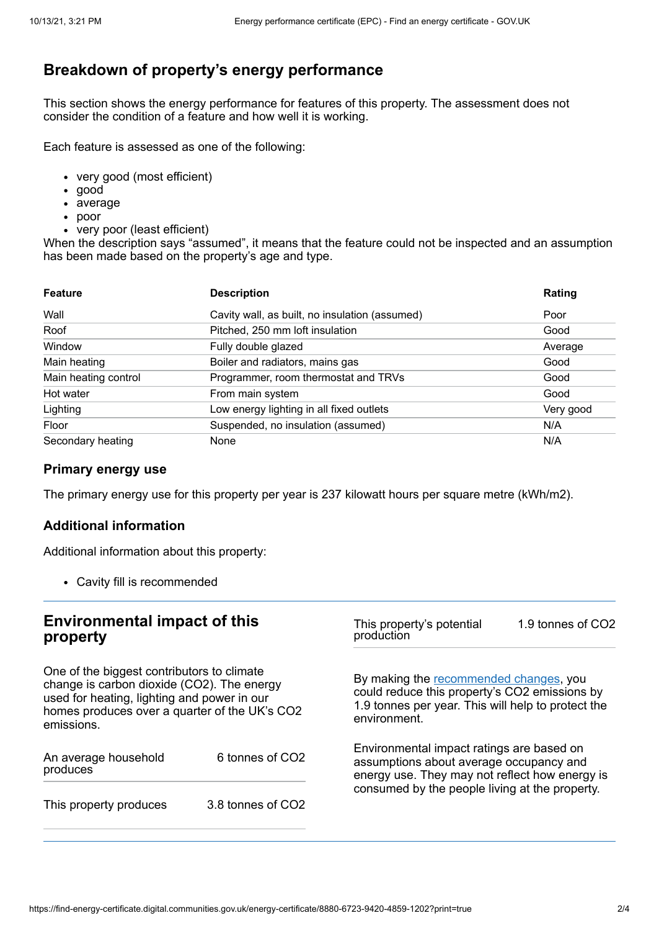# **Breakdown of property's energy performance**

This section shows the energy performance for features of this property. The assessment does not consider the condition of a feature and how well it is working.

Each feature is assessed as one of the following:

- very good (most efficient)
- good
- average
- poor
- very poor (least efficient)

When the description says "assumed", it means that the feature could not be inspected and an assumption has been made based on the property's age and type.

| <b>Feature</b>       | <b>Description</b>                             | Rating    |
|----------------------|------------------------------------------------|-----------|
| Wall                 | Cavity wall, as built, no insulation (assumed) | Poor      |
| Roof                 | Pitched, 250 mm loft insulation                | Good      |
| Window               | Fully double glazed                            | Average   |
| Main heating         | Boiler and radiators, mains gas                | Good      |
| Main heating control | Programmer, room thermostat and TRVs           | Good      |
| Hot water            | From main system                               | Good      |
| Lighting             | Low energy lighting in all fixed outlets       | Very good |
| Floor                | Suspended, no insulation (assumed)             | N/A       |
| Secondary heating    | None                                           | N/A       |

### **Primary energy use**

The primary energy use for this property per year is 237 kilowatt hours per square metre (kWh/m2).

### **Additional information**

Additional information about this property:

Cavity fill is recommended

#### **Environmental impact of this property** One of the biggest contributors to climate change is carbon dioxide (CO2). The energy used for heating, lighting and power in our homes produces over a quarter of the UK's CO2 emissions. An average household produces 6 tonnes of CO2 This property produces 3.8 tonnes of CO2 This property's potential production 1.9 tonnes of CO2 By making the [recommended](#page-2-0) changes, you could reduce this property's CO2 emissions by 1.9 tonnes per year. This will help to protect the environment. Environmental impact ratings are based on assumptions about average occupancy and energy use. They may not reflect how energy is consumed by the people living at the property.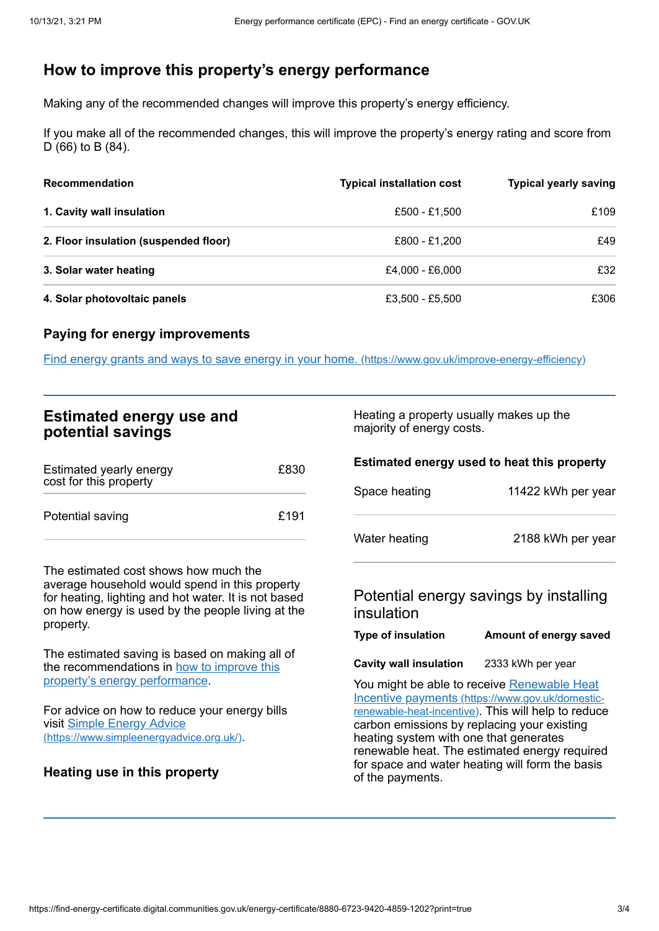# <span id="page-2-0"></span>**How to improve this property's energy performance**

Making any of the recommended changes will improve this property's energy efficiency.

If you make all of the recommended changes, this will improve the property's energy rating and score from D (66) to B (84).

| <b>Recommendation</b>                 | <b>Typical installation cost</b> | <b>Typical yearly saving</b> |
|---------------------------------------|----------------------------------|------------------------------|
| 1. Cavity wall insulation             | £500 - £1.500                    | £109                         |
| 2. Floor insulation (suspended floor) | £800 - £1.200                    | £49                          |
| 3. Solar water heating                | £4,000 - £6,000                  | £32                          |
| 4. Solar photovoltaic panels          | £3,500 - £5,500                  | £306                         |

#### **Paying for energy improvements**

Find energy grants and ways to save energy in your home. [\(https://www.gov.uk/improve-energy-efficiency\)](https://www.gov.uk/improve-energy-efficiency)

| <b>Estimated energy use and</b> |  |  |
|---------------------------------|--|--|
| potential savings               |  |  |

| Estimated yearly energy<br>cost for this property | £830 |
|---------------------------------------------------|------|
| Potential saving                                  | £191 |

The estimated cost shows how much the average household would spend in this property for heating, lighting and hot water. It is not based on how energy is used by the people living at the property.

The estimated saving is based on making all of the [recommendations](#page-2-0) in how to improve this property's energy performance.

For advice on how to reduce your energy bills visit Simple Energy Advice [\(https://www.simpleenergyadvice.org.uk/\)](https://www.simpleenergyadvice.org.uk/).

### **Heating use in this property**

Heating a property usually makes up the majority of energy costs.

#### **Estimated energy used to heat this property**

| Space heating | 11422 kWh per year |
|---------------|--------------------|
| Water heating | 2188 kWh per year  |

### Potential energy savings by installing insulation

| Amount of energy saved |
|------------------------|
|                        |

**Cavity wall insulation** 2333 kWh per year

You might be able to receive Renewable Heat Incentive payments [\(https://www.gov.uk/domestic](https://www.gov.uk/domestic-renewable-heat-incentive)renewable-heat-incentive). This will help to reduce carbon emissions by replacing your existing heating system with one that generates renewable heat. The estimated energy required for space and water heating will form the basis of the payments.